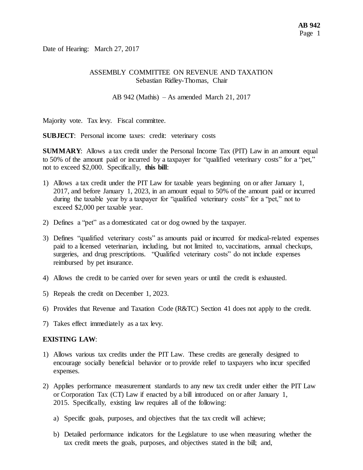Date of Hearing: March 27, 2017

#### ASSEMBLY COMMITTEE ON REVENUE AND TAXATION Sebastian Ridley-Thomas, Chair

AB 942 (Mathis) – As amended March 21, 2017

Majority vote. Tax levy. Fiscal committee.

**SUBJECT**: Personal income taxes: credit: veterinary costs

**SUMMARY**: Allows a tax credit under the Personal Income Tax (PIT) Law in an amount equal to 50% of the amount paid or incurred by a taxpayer for "qualified veterinary costs" for a "pet," not to exceed \$2,000. Specifically, **this bill**:

- 1) Allows a tax credit under the PIT Law for taxable years beginning on or after January 1, 2017, and before January 1, 2023, in an amount equal to 50% of the amount paid or incurred during the taxable year by a taxpayer for "qualified veterinary costs" for a "pet," not to exceed \$2,000 per taxable year.
- 2) Defines a "pet" as a domesticated cat or dog owned by the taxpayer.
- 3) Defines "qualified veterinary costs" as amounts paid or incurred for medical-related expenses paid to a licensed veterinarian, including, but not limited to, vaccinations, annual checkups, surgeries, and drug prescriptions. "Qualified veterinary costs" do not include expenses reimbursed by pet insurance.
- 4) Allows the credit to be carried over for seven years or until the credit is exhausted.
- 5) Repeals the credit on December 1, 2023.
- 6) Provides that Revenue and Taxation Code (R&TC) Section 41 does not apply to the credit.
- 7) Takes effect immediately as a tax levy.

#### **EXISTING LAW**:

- 1) Allows various tax credits under the PIT Law. These credits are generally designed to encourage socially beneficial behavior or to provide relief to taxpayers who incur specified expenses.
- 2) Applies performance measurement standards to any new tax credit under either the PIT Law or Corporation Tax (CT) Law if enacted by a bill introduced on or after January 1, 2015. Specifically, existing law requires all of the following:
	- a) Specific goals, purposes, and objectives that the tax credit will achieve;
	- b) Detailed performance indicators for the Legislature to use when measuring whether the tax credit meets the goals, purposes, and objectives stated in the bill; and,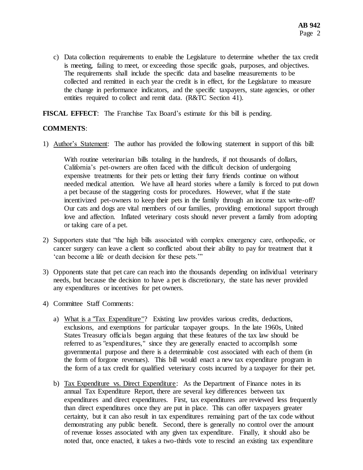c) Data collection requirements to enable the Legislature to determine whether the tax credit is meeting, failing to meet, or exceeding those specific goals, purposes, and objectives. The requirements shall include the specific data and baseline measurements to be collected and remitted in each year the credit is in effect, for the Legislature to measure the change in performance indicators, and the specific taxpayers, state agencies, or other entities required to collect and remit data. (R&TC Section 41).

**FISCAL EFFECT**: The Franchise Tax Board's estimate for this bill is pending.

#### **COMMENTS**:

1) Author's Statement: The author has provided the following statement in support of this bill:

With routine veterinarian bills totaling in the hundreds, if not thousands of dollars, California's pet-owners are often faced with the difficult decision of undergoing expensive treatments for their pets or letting their furry friends continue on without needed medical attention. We have all heard stories where a family is forced to put down a pet because of the staggering costs for procedures. However, what if the state incentivized pet-owners to keep their pets in the family through an income tax write-off? Our cats and dogs are vital members of our families, providing emotional support through love and affection. Inflated veterinary costs should never prevent a family from adopting or taking care of a pet.

- 2) Supporters state that "the high bills associated with complex emergency care, orthopedic, or cancer surgery can leave a client so conflicted about their ability to pay for treatment that it 'can become a life or death decision for these pets.'"
- 3) Opponents state that pet care can reach into the thousands depending on individual veterinary needs, but because the decision to have a pet is discretionary, the state has never provided any expenditures or incentives for pet owners.
- 4) Committee Staff Comments:
	- a) What is a "Tax Expenditure"? Existing law provides various credits, deductions, exclusions, and exemptions for particular taxpayer groups. In the late 1960s, United States Treasury officials began arguing that these features of the tax law should be referred to as "expenditures," since they are generally enacted to accomplish some governmental purpose and there is a determinable cost associated with each of them (in the form of forgone revenues). This bill would enact a new tax expenditure program in the form of a tax credit for qualified veterinary costs incurred by a taxpayer for their pet.
	- b) Tax Expenditure vs. Direct Expenditure: As the Department of Finance notes in its annual Tax Expenditure Report, there are several key differences between tax expenditures and direct expenditures. First, tax expenditures are reviewed less frequently than direct expenditures once they are put in place. This can offer taxpayers greater certainty, but it can also result in tax expenditures remaining part of the tax code without demonstrating any public benefit. Second, there is generally no control over the amount of revenue losses associated with any given tax expenditure. Finally, it should also be noted that, once enacted, it takes a two-thirds vote to rescind an existing tax expenditure